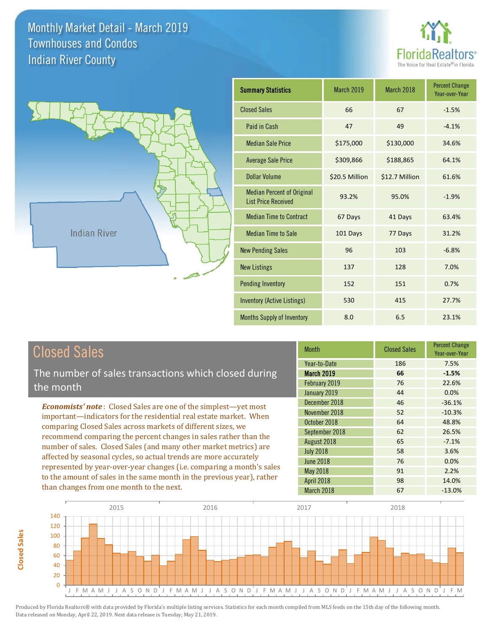**Closed Sales**

**Closed Sales** 





| <b>Summary Statistics</b>                                       | March 2019     | March 2018     | <b>Percent Change</b><br>Year-over-Year |
|-----------------------------------------------------------------|----------------|----------------|-----------------------------------------|
| <b>Closed Sales</b>                                             | 66             | 67             | $-1.5%$                                 |
| Paid in Cash                                                    | 47             | 49             | $-4.1%$                                 |
| <b>Median Sale Price</b>                                        | \$175,000      | \$130,000      | 34.6%                                   |
| <b>Average Sale Price</b>                                       | \$309,866      | \$188,865      | 64.1%                                   |
| Dollar Volume                                                   | \$20.5 Million | \$12.7 Million | 61.6%                                   |
| <b>Median Percent of Original</b><br><b>List Price Received</b> | 93.2%          | 95.0%          | $-1.9%$                                 |
| <b>Median Time to Contract</b>                                  | 67 Days        | 41 Days        | 63.4%                                   |
| <b>Median Time to Sale</b>                                      | 101 Days       | 77 Days        | 31.2%                                   |
| <b>New Pending Sales</b>                                        | 96             | 103            | $-6.8%$                                 |
| <b>New Listings</b>                                             | 137            | 128            | 7.0%                                    |
| <b>Pending Inventory</b>                                        | 152            | 151            | 0.7%                                    |
| Inventory (Active Listings)                                     | 530            | 415            | 27.7%                                   |
| Months Supply of Inventory                                      | 8.0            | 6.5            | 23.1%                                   |

| <b>Closed Sales</b>                                                    | <b>Month</b>                      | <b>Closed Sales</b> | <b>Percent Change</b><br>Year-over-Year |
|------------------------------------------------------------------------|-----------------------------------|---------------------|-----------------------------------------|
| The number of sales transactions which closed during                   | Year-to-Date<br><b>March 2019</b> | 186<br>66           | 7.5%<br>$-1.5%$                         |
| the month                                                              | February 2019                     | 76                  | 22.6%                                   |
|                                                                        | January 2019                      | 44                  | 0.0%                                    |
| <b>Economists' note:</b> Closed Sales are one of the simplest—yet most | December 2018                     | 46                  | $-36.1%$                                |
| important—indicators for the residential real estate market. When      | November 2018                     | 52                  | $-10.3%$                                |
| comparing Closed Sales across markets of different sizes, we           | October 2018                      | 64                  | 48.8%                                   |
|                                                                        | September 2018                    | 62                  | 26.5%                                   |
| recommend comparing the percent changes in sales rather than the       | August 2018                       | 65                  | $-7.1%$                                 |
| number of sales. Closed Sales (and many other market metrics) are      | <b>July 2018</b>                  | 58                  | 3.6%                                    |
| affected by seasonal cycles, so actual trends are more accurately      | <b>June 2018</b>                  | 76                  | 0.0%                                    |
| represented by year-over-year changes (i.e. comparing a month's sales  | May 2018                          | 91                  | 2.2%                                    |
| to the amount of sales in the same month in the previous year), rather | <b>April 2018</b>                 | 98                  | 14.0%                                   |
| than changes from one month to the next.                               | March 2018                        | 67                  | $-13.0%$                                |

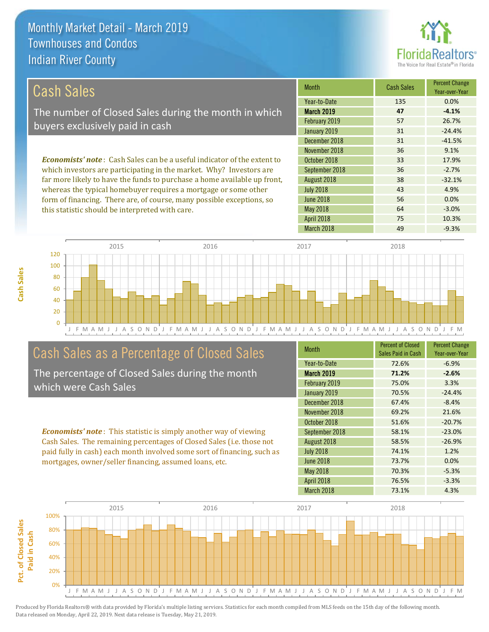this statistic should be interpreted with care.



64 -3.0%

| <b>Cash Sales</b>                                                              | <b>Month</b>      | <b>Cash Sales</b> | <b>Percent Change</b><br>Year-over-Year |
|--------------------------------------------------------------------------------|-------------------|-------------------|-----------------------------------------|
|                                                                                | Year-to-Date      | 135               | 0.0%                                    |
| The number of Closed Sales during the month in which                           | <b>March 2019</b> | 47                | $-4.1%$                                 |
| buyers exclusively paid in cash                                                | February 2019     | 57                | 26.7%                                   |
|                                                                                | January 2019      | 31                | $-24.4%$                                |
|                                                                                | December 2018     | 31                | $-41.5%$                                |
|                                                                                | November 2018     | 36                | 9.1%                                    |
| <b>Economists' note:</b> Cash Sales can be a useful indicator of the extent to | October 2018      | 33                | 17.9%                                   |
| which investors are participating in the market. Why? Investors are            | September 2018    | 36                | $-2.7%$                                 |
| far more likely to have the funds to purchase a home available up front,       | August 2018       | 38                | $-32.1%$                                |
| whereas the typical homebuyer requires a mortgage or some other                | <b>July 2018</b>  | 43                | 4.9%                                    |
| form of financing. There are, of course, many possible exceptions, so          | <b>June 2018</b>  | 56                | 0.0%                                    |

J F M A M J J A S O N D J F M A M J J A S O N D J F M A M J J A S O N D J F M A M J J A S O N D J F M 0 20 40 60 80 100 120 2015 2016 2017 2018

## Cash Sales as a Percentage of Closed Sales

The percentage of Closed Sales during the month which were Cash Sales

*Economists' note* : This statistic is simply another way of viewing Cash Sales. The remaining percentages of Closed Sales (i.e. those not paid fully in cash) each month involved some sort of financing, such as mortgages, owner/seller financing, assumed loans, etc.

| <b>Month</b>      | <b>Percent of Closed</b><br>Sales Paid in Cash | <b>Percent Change</b><br>Year-over-Year |
|-------------------|------------------------------------------------|-----------------------------------------|
| Year-to-Date      | 72.6%                                          | $-6.9%$                                 |
| <b>March 2019</b> | 71.2%                                          | $-2.6%$                                 |
| February 2019     | 75.0%                                          | 3.3%                                    |
| January 2019      | 70.5%                                          | $-24.4%$                                |
| December 2018     | 67.4%                                          | $-8.4%$                                 |
| November 2018     | 69.2%                                          | 21.6%                                   |
| October 2018      | 51.6%                                          | $-20.7%$                                |
| September 2018    | 58.1%                                          | $-23.0%$                                |
| August 2018       | 58.5%                                          | $-26.9%$                                |
| <b>July 2018</b>  | 74.1%                                          | 1.2%                                    |
| <b>June 2018</b>  | 73.7%                                          | 0.0%                                    |
| <b>May 2018</b>   | 70.3%                                          | $-5.3%$                                 |
| <b>April 2018</b> | 76.5%                                          | $-3.3%$                                 |
| March 2018        | 73.1%                                          | 4.3%                                    |

April 2018 75 10.3%

May 2018

March 2018 **49** -9.3%



**Cash Sales**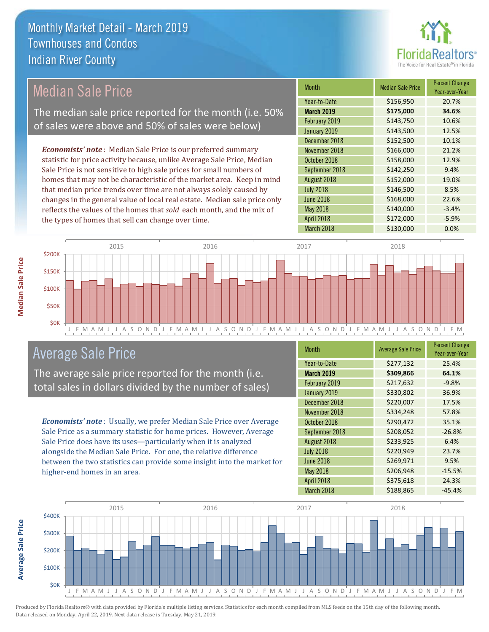

#### *Economists' note* : Median Sale Price is our preferred summary statistic for price activity because, unlike Average Sale Price, Median Sale Price is not sensitive to high sale prices for small numbers of homes that may not be characteristic of the market area. Keep in mind that median price trends over time are not always solely caused by changes in the general value of local real estate. Median sale price only reflects the values of the homes that *sold* each month, and the mix of the types of homes that sell can change over time. March 2018 **\$130,000 0.0%** May 2018 **\$140,000** -3.4% April 2018 **\$172,000** -5.9% July 2018 **\$146,500** \$146,500 June 2018 **\$168,000** 22.6% \$152,500 10.1% November 2018 **\$166,000** 21.2% August 2018 **\$152,000** 19.0% February 2019 <br>  $$143,750$  10.6% January 2019 **\$143,500** \$143,500 12.5% October 2018 **\$158,000** 12.9% September 2018 **\$142,250** 9.4% December 2018 Month Median Sale Price Percent Change Year-over-Year March 2019 **\$175,000 34.6%** Year-to-Date \$156,950 20.7% 2015 2016 2017 2018 Median Sale Price The median sale price reported for the month (i.e. 50% of sales were above and 50% of sales were below)



## Average Sale Price

The average sale price reported for the month (i.e. total sales in dollars divided by the number of sales)

*Economists' note* : Usually, we prefer Median Sale Price over Average Sale Price as a summary statistic for home prices. However, Average Sale Price does have its uses—particularly when it is analyzed alongside the Median Sale Price. For one, the relative difference between the two statistics can provide some insight into the market for higher-end homes in an area.

| Month             | <b>Average Sale Price</b> | <b>Percent Change</b><br>Year-over-Year |
|-------------------|---------------------------|-----------------------------------------|
| Year-to-Date      | \$277,132                 | 25.4%                                   |
| <b>March 2019</b> | \$309,866                 | 64.1%                                   |
| February 2019     | \$217,632                 | $-9.8%$                                 |
| January 2019      | \$330,802                 | 36.9%                                   |
| December 2018     | \$220,007                 | 17.5%                                   |
| November 2018     | \$334,248                 | 57.8%                                   |
| October 2018      | \$290,472                 | 35.1%                                   |
| September 2018    | \$208,052                 | $-26.8%$                                |
| August 2018       | \$233,925                 | 6.4%                                    |
| <b>July 2018</b>  | \$220,949                 | 23.7%                                   |
| <b>June 2018</b>  | \$269,971                 | 9.5%                                    |
| <b>May 2018</b>   | \$206,948                 | $-15.5%$                                |
| <b>April 2018</b> | \$375,618                 | 24.3%                                   |
| March 2018        | \$188,865                 | $-45.4%$                                |

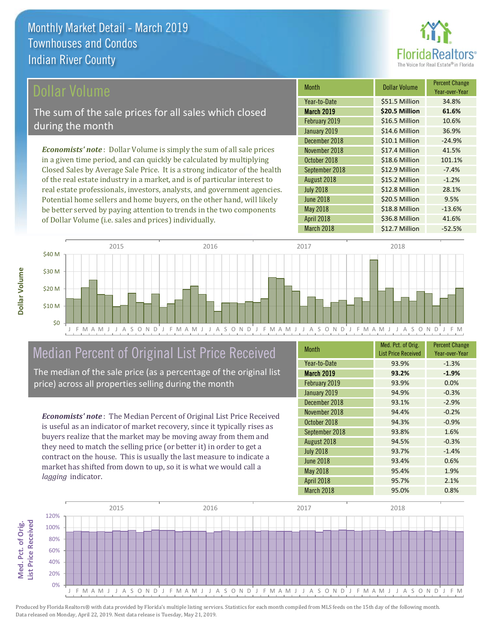

## ollar Volume

The sum of the sale prices for all sales which closed during the month

*Economists' note* : Dollar Volume is simply the sum of all sale prices in a given time period, and can quickly be calculated by multiplying Closed Sales by Average Sale Price. It is a strong indicator of the health of the real estate industry in a market, and is of particular interest to real estate professionals, investors, analysts, and government agencies. Potential home sellers and home buyers, on the other hand, will likely be better served by paying attention to trends in the two components of Dollar Volume (i.e. sales and prices) individually.

| Month             | Dollar Volume  | <b>Percent Change</b><br>Year-over-Year |
|-------------------|----------------|-----------------------------------------|
| Year-to-Date      | \$51.5 Million | 34.8%                                   |
| <b>March 2019</b> | \$20.5 Million | 61.6%                                   |
| February 2019     | \$16.5 Million | 10.6%                                   |
| January 2019      | \$14.6 Million | 36.9%                                   |
| December 2018     | \$10.1 Million | $-24.9%$                                |
| November 2018     | \$17.4 Million | 41.5%                                   |
| October 2018      | \$18.6 Million | 101.1%                                  |
| September 2018    | \$12.9 Million | $-7.4%$                                 |
| August 2018       | \$15.2 Million | $-1.2%$                                 |
| <b>July 2018</b>  | \$12.8 Million | 28.1%                                   |
| <b>June 2018</b>  | \$20.5 Million | 9.5%                                    |
| May 2018          | \$18.8 Million | $-13.6%$                                |
| <b>April 2018</b> | \$36.8 Million | 41.6%                                   |
| March 2018        | \$12.7 Million | $-52.5%$                                |



## Median Percent of Original List Price Received

The median of the sale price (as a percentage of the original list price) across all properties selling during the month

*Economists' note* : The Median Percent of Original List Price Received is useful as an indicator of market recovery, since it typically rises as buyers realize that the market may be moving away from them and they need to match the selling price (or better it) in order to get a contract on the house. This is usually the last measure to indicate a market has shifted from down to up, so it is what we would call a *lagging* indicator.

| <b>Month</b>      | Med. Pct. of Orig.<br><b>List Price Received</b> | <b>Percent Change</b><br>Year-over-Year |
|-------------------|--------------------------------------------------|-----------------------------------------|
| Year-to-Date      | 93.9%                                            | $-1.3%$                                 |
| <b>March 2019</b> | 93.2%                                            | $-1.9%$                                 |
| February 2019     | 93.9%                                            | 0.0%                                    |
| January 2019      | 94.9%                                            | $-0.3%$                                 |
| December 2018     | 93.1%                                            | $-2.9%$                                 |
| November 2018     | 94.4%                                            | $-0.2%$                                 |
| October 2018      | 94.3%                                            | $-0.9%$                                 |
| September 2018    | 93.8%                                            | 1.6%                                    |
| August 2018       | 94.5%                                            | $-0.3%$                                 |
| <b>July 2018</b>  | 93.7%                                            | $-1.4%$                                 |
| <b>June 2018</b>  | 93.4%                                            | 0.6%                                    |
| <b>May 2018</b>   | 95.4%                                            | 1.9%                                    |
| April 2018        | 95.7%                                            | 2.1%                                    |
| March 2018        | 95.0%                                            | 0.8%                                    |

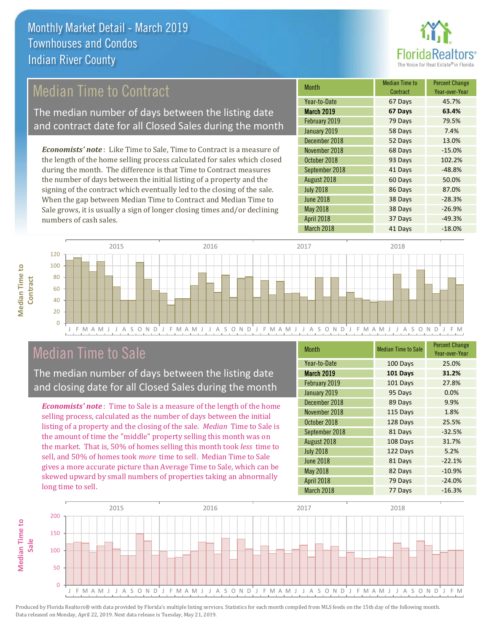

## Median Time to Contract

The median number of days between the listing date and contract date for all Closed Sales during the month

*Economists' note* : Like Time to Sale, Time to Contract is a measure of the length of the home selling process calculated for sales which closed during the month. The difference is that Time to Contract measures the number of days between the initial listing of a property and the signing of the contract which eventually led to the closing of the sale. When the gap between Median Time to Contract and Median Time to Sale grows, it is usually a sign of longer closing times and/or declining numbers of cash sales.

| <b>Month</b>      | <b>Median Time to</b><br>Contract | <b>Percent Change</b><br>Year-over-Year |
|-------------------|-----------------------------------|-----------------------------------------|
| Year-to-Date      | 67 Days                           | 45.7%                                   |
| <b>March 2019</b> | 67 Days                           | 63.4%                                   |
| February 2019     | 79 Days                           | 79.5%                                   |
| January 2019      | 58 Days                           | 7.4%                                    |
| December 2018     | 52 Days                           | 13.0%                                   |
| November 2018     | 68 Days                           | $-15.0%$                                |
| October 2018      | 93 Days                           | 102.2%                                  |
| September 2018    | 41 Days                           | $-48.8%$                                |
| August 2018       | 60 Days                           | 50.0%                                   |
| <b>July 2018</b>  | 86 Days                           | 87.0%                                   |
| <b>June 2018</b>  | 38 Days                           | $-28.3%$                                |
| <b>May 2018</b>   | 38 Days                           | $-26.9%$                                |
| April 2018        | 37 Days                           | $-49.3%$                                |
| March 2018        | 41 Days                           | $-18.0%$                                |



## Median Time to Sale

**Median Time to** 

**Median Time to** 

The median number of days between the listing date and closing date for all Closed Sales during the month

*Economists' note* : Time to Sale is a measure of the length of the home selling process, calculated as the number of days between the initial listing of a property and the closing of the sale. *Median* Time to Sale is the amount of time the "middle" property selling this month was on the market. That is, 50% of homes selling this month took *less* time to sell, and 50% of homes took *more* time to sell. Median Time to Sale gives a more accurate picture than Average Time to Sale, which can be skewed upward by small numbers of properties taking an abnormally long time to sell.

| <b>Month</b>      | <b>Median Time to Sale</b> | <b>Percent Change</b><br>Year-over-Year |
|-------------------|----------------------------|-----------------------------------------|
| Year-to-Date      | 100 Days                   | 25.0%                                   |
| March 2019        | 101 Days                   | 31.2%                                   |
| February 2019     | 101 Days                   | 27.8%                                   |
| January 2019      | 95 Days                    | 0.0%                                    |
| December 2018     | 89 Days                    | 9.9%                                    |
| November 2018     | 115 Days                   | 1.8%                                    |
| October 2018      | 128 Days                   | 25.5%                                   |
| September 2018    | 81 Days                    | $-32.5%$                                |
| August 2018       | 108 Days                   | 31.7%                                   |
| <b>July 2018</b>  | 122 Days                   | 5.2%                                    |
| <b>June 2018</b>  | 81 Days                    | $-22.1%$                                |
| <b>May 2018</b>   | 82 Days                    | $-10.9%$                                |
| <b>April 2018</b> | 79 Days                    | $-24.0%$                                |
| March 2018        | 77 Days                    | $-16.3%$                                |

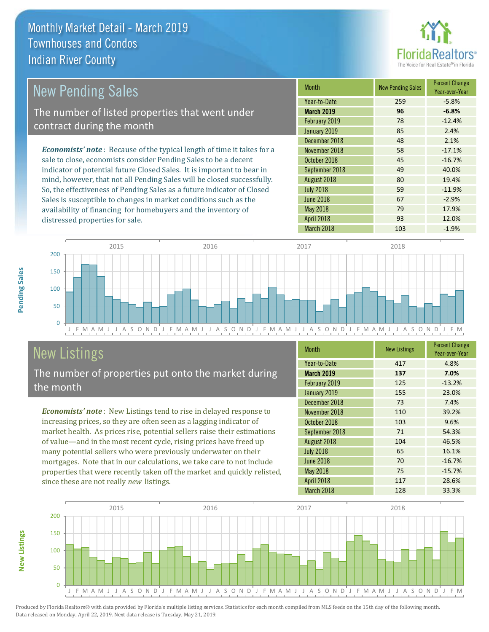

| <b>New Pending Sales</b>                                                       | <b>Month</b>      | <b>New Pending Sales</b> | <b>Percent Change</b><br>Year-over-Year |
|--------------------------------------------------------------------------------|-------------------|--------------------------|-----------------------------------------|
|                                                                                | Year-to-Date      | 259                      | $-5.8%$                                 |
| The number of listed properties that went under                                | <b>March 2019</b> | 96                       | $-6.8%$                                 |
| contract during the month                                                      | February 2019     | 78                       | $-12.4%$                                |
|                                                                                | January 2019      | 85                       | 2.4%                                    |
|                                                                                | December 2018     | 48                       | 2.1%                                    |
| <b>Economists' note</b> : Because of the typical length of time it takes for a | November 2018     | 58                       | $-17.1%$                                |
| sale to close, economists consider Pending Sales to be a decent                | October 2018      | 45                       | $-16.7%$                                |
| indicator of potential future Closed Sales. It is important to bear in         | September 2018    | 49                       | 40.0%                                   |
| mind, however, that not all Pending Sales will be closed successfully.         | August 2018       | 80                       | 19.4%                                   |
| So, the effectiveness of Pending Sales as a future indicator of Closed         | <b>July 2018</b>  | 59                       | $-11.9%$                                |
| Sales is susceptible to changes in market conditions such as the               | June 2018         | 67                       | $-2.9%$                                 |



## New Listings

distressed properties for sale.

The number of properties put onto the market during the month

availability of financing for homebuyers and the inventory of

*Economists' note* : New Listings tend to rise in delayed response to increasing prices, so they are often seen as a lagging indicator of market health. As prices rise, potential sellers raise their estimations of value—and in the most recent cycle, rising prices have freed up many potential sellers who were previously underwater on their mortgages. Note that in our calculations, we take care to not include properties that were recently taken off the market and quickly relisted, since these are not really *new* listings.

| <b>Month</b>     | <b>New Listings</b> | <b>Percent Change</b><br>Year-over-Year |
|------------------|---------------------|-----------------------------------------|
| Year-to-Date     | 417                 | 4.8%                                    |
| March 2019       | 137                 | 7.0%                                    |
| February 2019    | 125                 | $-13.2%$                                |
| January 2019     | 155                 | 23.0%                                   |
| December 2018    | 73                  | 7.4%                                    |
| November 2018    | 110                 | 39.2%                                   |
| October 2018     | 103                 | 9.6%                                    |
| September 2018   | 71                  | 54.3%                                   |
| August 2018      | 104                 | 46.5%                                   |
| <b>July 2018</b> | 65                  | 16.1%                                   |
| <b>June 2018</b> | 70                  | $-16.7%$                                |
| <b>May 2018</b>  | 75                  | $-15.7%$                                |
| April 2018       | 117                 | 28.6%                                   |
| March 2018       | 128                 | 33.3%                                   |

May 2018 79 79 17.9% April 2018 **93** 12.0%



Produced by Florida Realtors® with data provided by Florida's multiple listing services. Statistics for each month compiled from MLS feeds on the 15th day of the following month. Data released on Monday, April 22, 2019. Next data release is Tuesday, May 21, 2019.

**New Listings**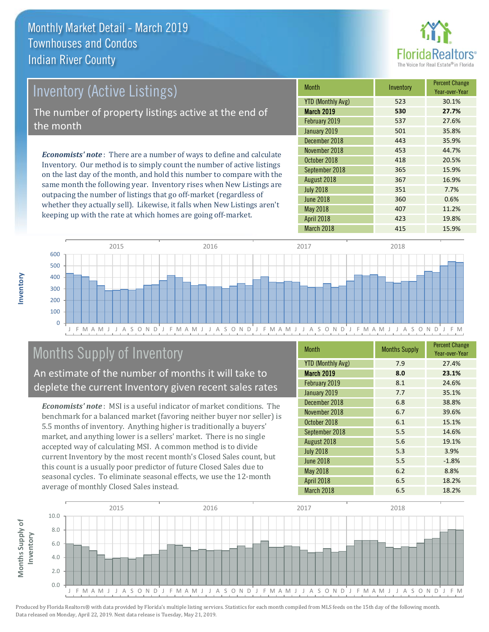

# *Economists' note* : There are a number of ways to define and calculate Inventory (Active Listings) The number of property listings active at the end of the month

Inventory. Our method is to simply count the number of active listings on the last day of the month, and hold this number to compare with the same month the following year. Inventory rises when New Listings are outpacing the number of listings that go off-market (regardless of whether they actually sell). Likewise, it falls when New Listings aren't keeping up with the rate at which homes are going off-market.

| <b>Month</b>             | Inventory | <b>Percent Change</b><br>Year-over-Year |
|--------------------------|-----------|-----------------------------------------|
| <b>YTD (Monthly Avg)</b> | 523       | 30.1%                                   |
| <b>March 2019</b>        | 530       | 27.7%                                   |
| February 2019            | 537       | 27.6%                                   |
| January 2019             | 501       | 35.8%                                   |
| December 2018            | 443       | 35.9%                                   |
| November 2018            | 453       | 44.7%                                   |
| October 2018             | 418       | 20.5%                                   |
| September 2018           | 365       | 15.9%                                   |
| August 2018              | 367       | 16.9%                                   |
| <b>July 2018</b>         | 351       | 7.7%                                    |
| <b>June 2018</b>         | 360       | 0.6%                                    |
| <b>May 2018</b>          | 407       | 11.2%                                   |
| April 2018               | 423       | 19.8%                                   |
| March 2018               | 415       | 15.9%                                   |



## Months Supply of Inventory

An estimate of the number of months it will take to deplete the current Inventory given recent sales rates

*Economists' note* : MSI is a useful indicator of market conditions. The benchmark for a balanced market (favoring neither buyer nor seller) is 5.5 months of inventory. Anything higher is traditionally a buyers' market, and anything lower is a sellers' market. There is no single accepted way of calculating MSI. A common method is to divide current Inventory by the most recent month's Closed Sales count, but this count is a usually poor predictor of future Closed Sales due to seasonal cycles. To eliminate seasonal effects, we use the 12-month average of monthly Closed Sales instead.

| <b>Month</b>             | <b>Months Supply</b> | <b>Percent Change</b><br>Year-over-Year |
|--------------------------|----------------------|-----------------------------------------|
| <b>YTD (Monthly Avg)</b> | 7.9                  | 27.4%                                   |
| <b>March 2019</b>        | 8.0                  | 23.1%                                   |
| February 2019            | 8.1                  | 24.6%                                   |
| January 2019             | 7.7                  | 35.1%                                   |
| December 2018            | 6.8                  | 38.8%                                   |
| November 2018            | 6.7                  | 39.6%                                   |
| October 2018             | 6.1                  | 15.1%                                   |
| September 2018           | 5.5                  | 14.6%                                   |
| August 2018              | 5.6                  | 19.1%                                   |
| <b>July 2018</b>         | 5.3                  | 3.9%                                    |
| <b>June 2018</b>         | 5.5                  | $-1.8%$                                 |
| May 2018                 | 6.2                  | 8.8%                                    |
| <b>April 2018</b>        | 6.5                  | 18.2%                                   |
| March 2018               | 6.5                  | 18.2%                                   |

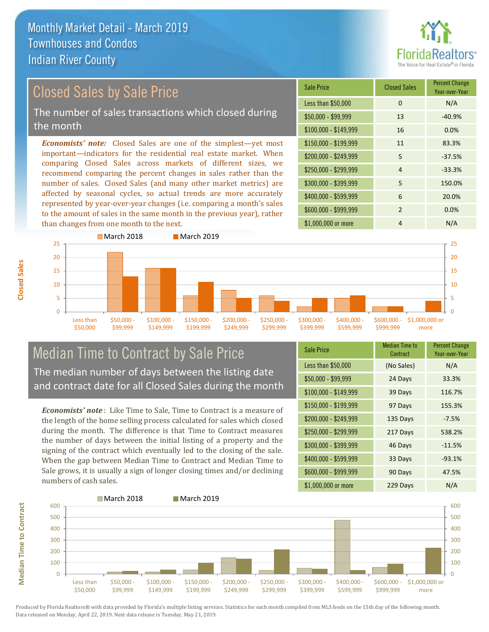

## Closed Sales by Sale Price The number of sales transactions which closed during the month

*Economists' note:* Closed Sales are one of the simplest—yet most important—indicators for the residential real estate market. When comparing Closed Sales across markets of different sizes, we recommend comparing the percent changes in sales rather than the number of sales. Closed Sales (and many other market metrics) are affected by seasonal cycles, so actual trends are more accurately represented by year-over-year changes (i.e. comparing a month's sales to the amount of sales in the same month in the previous year), rather than changes from one month to the next.

| <b>Sale Price</b>     | <b>Closed Sales</b> | <b>Percent Change</b><br>Year-over-Year |
|-----------------------|---------------------|-----------------------------------------|
| Less than \$50,000    | $\Omega$            | N/A                                     |
| $$50,000 - $99,999$   | 13                  | $-40.9%$                                |
| $$100,000 - $149,999$ | 16                  | 0.0%                                    |
| $$150,000 - $199,999$ | 11                  | 83.3%                                   |
| \$200,000 - \$249,999 | 5                   | $-37.5%$                                |
| \$250,000 - \$299,999 | $\overline{4}$      | $-33.3%$                                |
| \$300,000 - \$399,999 | 5                   | 150.0%                                  |
| \$400,000 - \$599,999 | 6                   | 20.0%                                   |
| \$600,000 - \$999,999 | $\overline{2}$      | 0.0%                                    |
| \$1,000,000 or more   | 4                   | N/A                                     |



## Median Time to Contract by Sale Price The median number of days between the listing date and contract date for all Closed Sales during the month

*Economists' note* : Like Time to Sale, Time to Contract is a measure of the length of the home selling process calculated for sales which closed during the month. The difference is that Time to Contract measures the number of days between the initial listing of a property and the signing of the contract which eventually led to the closing of the sale. When the gap between Median Time to Contract and Median Time to Sale grows, it is usually a sign of longer closing times and/or declining numbers of cash sales.

| <b>Sale Price</b>     | Median Time to<br>Contract | <b>Percent Change</b><br>Year-over-Year |
|-----------------------|----------------------------|-----------------------------------------|
| Less than \$50,000    | (No Sales)                 | N/A                                     |
| $$50,000 - $99,999$   | 24 Days                    | 33.3%                                   |
| $$100,000 - $149,999$ | 39 Days                    | 116.7%                                  |
| \$150,000 - \$199,999 | 97 Days                    | 155.3%                                  |
| \$200,000 - \$249,999 | 135 Days                   | $-7.5%$                                 |
| \$250,000 - \$299,999 | 217 Days                   | 538.2%                                  |
| \$300,000 - \$399,999 | 46 Days                    | $-11.5%$                                |
| \$400,000 - \$599,999 | 33 Days                    | $-93.1%$                                |
| \$600,000 - \$999,999 | 90 Days                    | 47.5%                                   |
| \$1,000,000 or more   | 229 Days                   | N/A                                     |



Produced by Florida Realtors® with data provided by Florida's multiple listing services. Statistics for each month compiled from MLS feeds on the 15th day of the following month. Data released on Monday, April 22, 2019. Next data release is Tuesday, May 21, 2019.

**Median Time to Contract**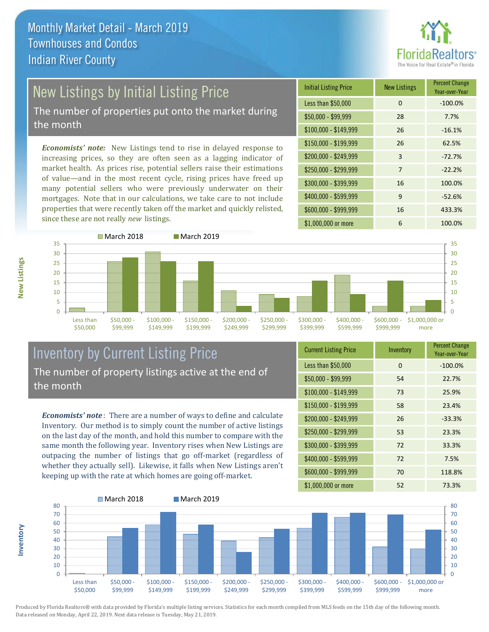

# New Listings by Initial Listing Price

The number of properties put onto the market during the month

*Economists' note:* New Listings tend to rise in delayed response to increasing prices, so they are often seen as a lagging indicator of market health. As prices rise, potential sellers raise their estimations of value—and in the most recent cycle, rising prices have freed up many potential sellers who were previously underwater on their mortgages. Note that in our calculations, we take care to not include properties that were recently taken off the market and quickly relisted, since these are not really *new* listings.





## Inventory by Current Listing Price The number of property listings active at the end of the month

*Economists' note* : There are a number of ways to define and calculate Inventory. Our method is to simply count the number of active listings on the last day of the month, and hold this number to compare with the same month the following year. Inventory rises when New Listings are outpacing the number of listings that go off-market (regardless of whether they actually sell). Likewise, it falls when New Listings aren't keeping up with the rate at which homes are going off-market.

| <b>Current Listing Price</b> | Inventory | <b>Percent Change</b><br>Year-over-Year |
|------------------------------|-----------|-----------------------------------------|
| Less than \$50,000           | $\Omega$  | $-100.0%$                               |
| $$50,000 - $99,999$          | 54        | 22.7%                                   |
| $$100,000 - $149,999$        | 73        | 25.9%                                   |
| $$150,000 - $199,999$        | 58        | 23.4%                                   |
| \$200,000 - \$249,999        | 26        | $-33.3%$                                |
| \$250,000 - \$299,999        | 53        | 23.3%                                   |
| \$300,000 - \$399,999        | 72        | 33.3%                                   |
| \$400,000 - \$599,999        | 72        | 7.5%                                    |
| \$600,000 - \$999,999        | 70        | 118.8%                                  |
| \$1,000,000 or more          | 52        | 73.3%                                   |



**Inventory**

**New Listings**